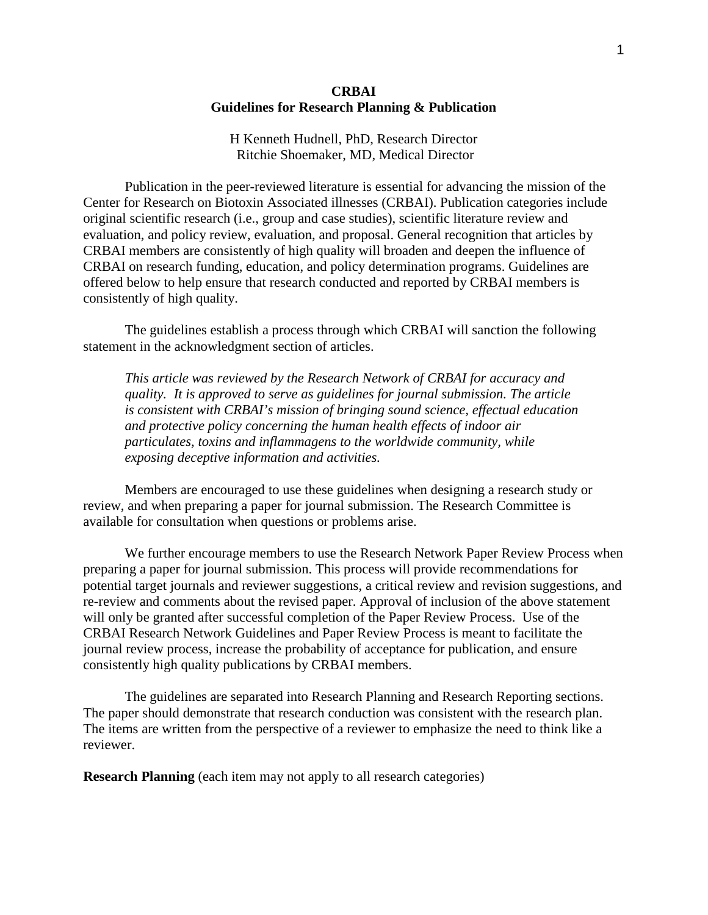## **CRBAI Guidelines for Research Planning & Publication**

H Kenneth Hudnell, PhD, Research Director Ritchie Shoemaker, MD, Medical Director

Publication in the peer-reviewed literature is essential for advancing the mission of the Center for Research on Biotoxin Associated illnesses (CRBAI). Publication categories include original scientific research (i.e., group and case studies), scientific literature review and evaluation, and policy review, evaluation, and proposal. General recognition that articles by CRBAI members are consistently of high quality will broaden and deepen the influence of CRBAI on research funding, education, and policy determination programs. Guidelines are offered below to help ensure that research conducted and reported by CRBAI members is consistently of high quality.

The guidelines establish a process through which CRBAI will sanction the following statement in the acknowledgment section of articles.

*This article was reviewed by the Research Network of CRBAI for accuracy and quality. It is approved to serve as guidelines for journal submission. The article is consistent with CRBAI's mission of bringing sound science, effectual education and protective policy concerning the human health effects of indoor air particulates, toxins and inflammagens to the worldwide community, while exposing deceptive information and activities.*

Members are encouraged to use these guidelines when designing a research study or review, and when preparing a paper for journal submission. The Research Committee is available for consultation when questions or problems arise.

We further encourage members to use the Research Network Paper Review Process when preparing a paper for journal submission. This process will provide recommendations for potential target journals and reviewer suggestions, a critical review and revision suggestions, and re-review and comments about the revised paper. Approval of inclusion of the above statement will only be granted after successful completion of the Paper Review Process. Use of the CRBAI Research Network Guidelines and Paper Review Process is meant to facilitate the journal review process, increase the probability of acceptance for publication, and ensure consistently high quality publications by CRBAI members.

The guidelines are separated into Research Planning and Research Reporting sections. The paper should demonstrate that research conduction was consistent with the research plan. The items are written from the perspective of a reviewer to emphasize the need to think like a reviewer.

**Research Planning** (each item may not apply to all research categories)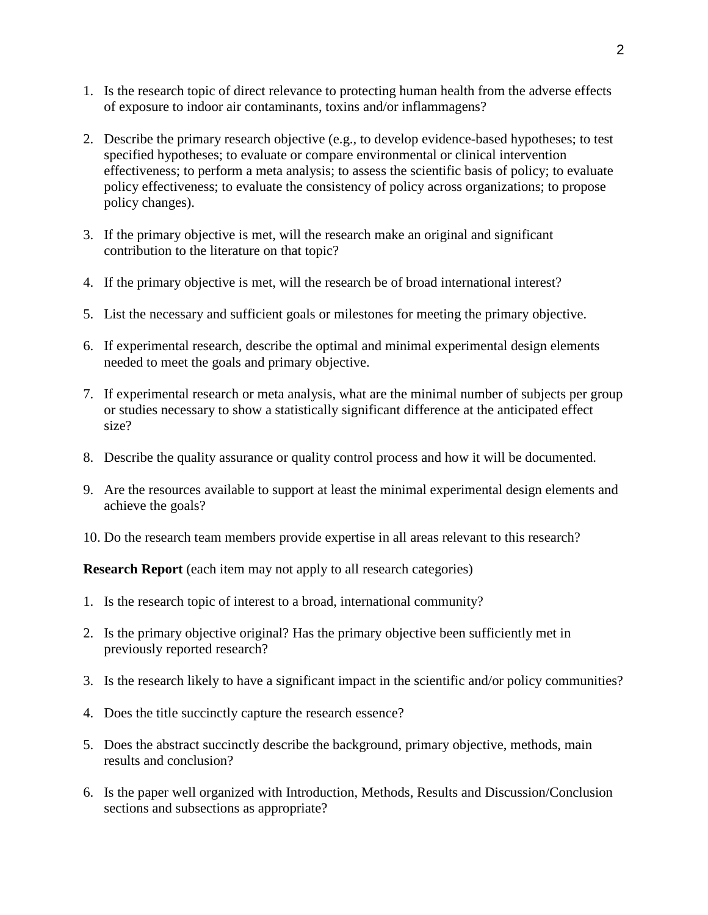- 1. Is the research topic of direct relevance to protecting human health from the adverse effects of exposure to indoor air contaminants, toxins and/or inflammagens?
- 2. Describe the primary research objective (e.g., to develop evidence-based hypotheses; to test specified hypotheses; to evaluate or compare environmental or clinical intervention effectiveness; to perform a meta analysis; to assess the scientific basis of policy; to evaluate policy effectiveness; to evaluate the consistency of policy across organizations; to propose policy changes).
- 3. If the primary objective is met, will the research make an original and significant contribution to the literature on that topic?
- 4. If the primary objective is met, will the research be of broad international interest?
- 5. List the necessary and sufficient goals or milestones for meeting the primary objective.
- 6. If experimental research, describe the optimal and minimal experimental design elements needed to meet the goals and primary objective.
- 7. If experimental research or meta analysis, what are the minimal number of subjects per group or studies necessary to show a statistically significant difference at the anticipated effect size?
- 8. Describe the quality assurance or quality control process and how it will be documented.
- 9. Are the resources available to support at least the minimal experimental design elements and achieve the goals?
- 10. Do the research team members provide expertise in all areas relevant to this research?

**Research Report** (each item may not apply to all research categories)

- 1. Is the research topic of interest to a broad, international community?
- 2. Is the primary objective original? Has the primary objective been sufficiently met in previously reported research?
- 3. Is the research likely to have a significant impact in the scientific and/or policy communities?
- 4. Does the title succinctly capture the research essence?
- 5. Does the abstract succinctly describe the background, primary objective, methods, main results and conclusion?
- 6. Is the paper well organized with Introduction, Methods, Results and Discussion/Conclusion sections and subsections as appropriate?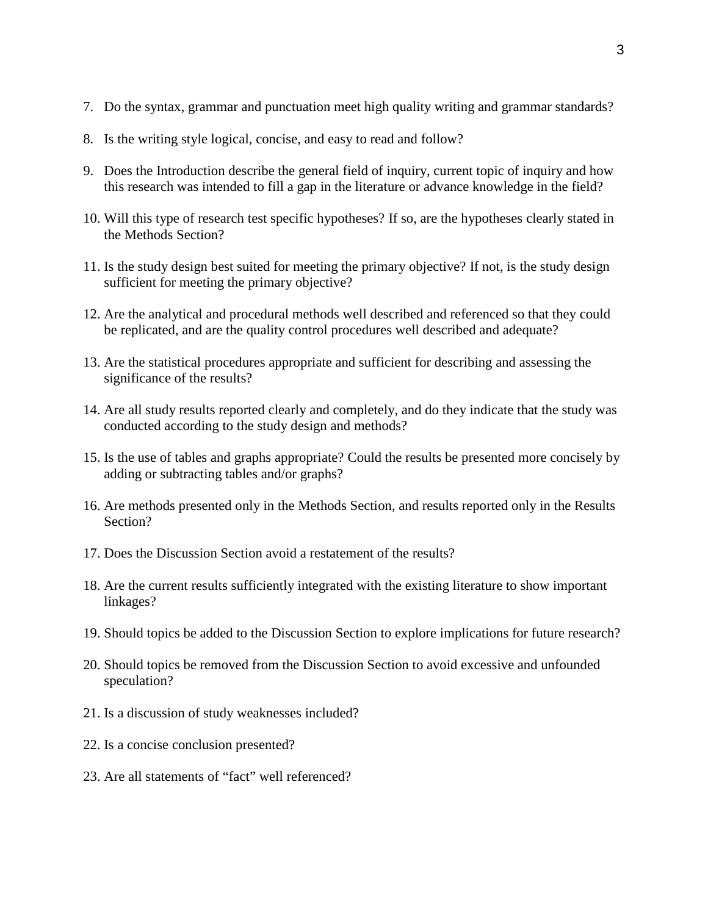- 7. Do the syntax, grammar and punctuation meet high quality writing and grammar standards?
- 8. Is the writing style logical, concise, and easy to read and follow?
- 9. Does the Introduction describe the general field of inquiry, current topic of inquiry and how this research was intended to fill a gap in the literature or advance knowledge in the field?
- 10. Will this type of research test specific hypotheses? If so, are the hypotheses clearly stated in the Methods Section?
- 11. Is the study design best suited for meeting the primary objective? If not, is the study design sufficient for meeting the primary objective?
- 12. Are the analytical and procedural methods well described and referenced so that they could be replicated, and are the quality control procedures well described and adequate?
- 13. Are the statistical procedures appropriate and sufficient for describing and assessing the significance of the results?
- 14. Are all study results reported clearly and completely, and do they indicate that the study was conducted according to the study design and methods?
- 15. Is the use of tables and graphs appropriate? Could the results be presented more concisely by adding or subtracting tables and/or graphs?
- 16. Are methods presented only in the Methods Section, and results reported only in the Results Section?
- 17. Does the Discussion Section avoid a restatement of the results?
- 18. Are the current results sufficiently integrated with the existing literature to show important linkages?
- 19. Should topics be added to the Discussion Section to explore implications for future research?
- 20. Should topics be removed from the Discussion Section to avoid excessive and unfounded speculation?
- 21. Is a discussion of study weaknesses included?
- 22. Is a concise conclusion presented?
- 23. Are all statements of "fact" well referenced?